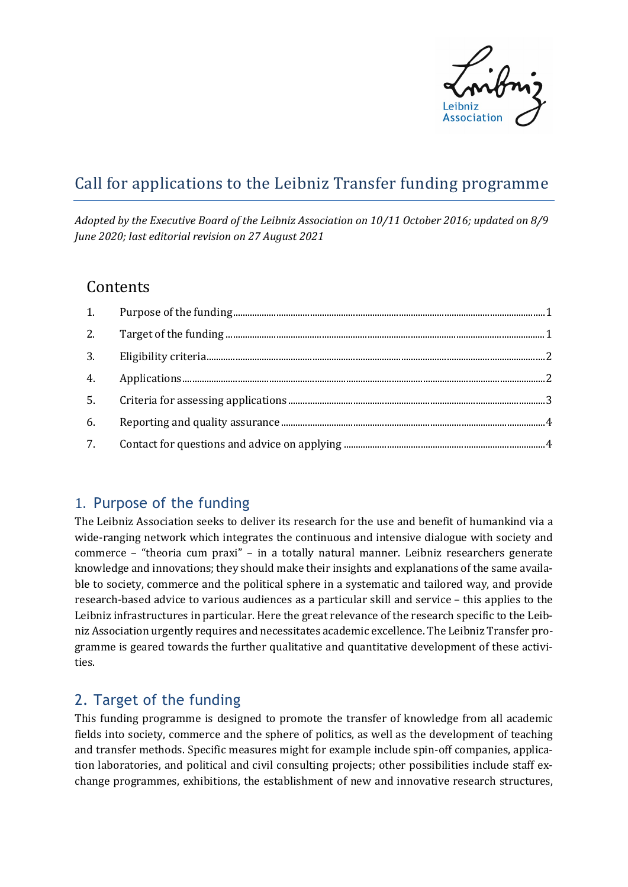

# Call for applications to the Leibniz Transfer funding programme

*Adopted by the Executive Board of the Leibniz Association on 10/11 October 2016; updated on 8/9 June 2020; last editorial revision on 27 August 2021*

### **Contents**

| 2. |  |
|----|--|
|    |  |
| 4. |  |
|    |  |
| 6. |  |
| 7. |  |

# <span id="page-0-0"></span>1. Purpose of the funding

The Leibniz Association seeks to deliver its research for the use and benefit of humankind via a wide-ranging network which integrates the continuous and intensive dialogue with society and commerce – "theoria cum praxi" – in a totally natural manner. Leibniz researchers generate knowledge and innovations; they should make their insights and explanations of the same available to society, commerce and the political sphere in a systematic and tailored way, and provide research-based advice to various audiences as a particular skill and service – this applies to the Leibniz infrastructures in particular. Here the great relevance of the research specific to the Leibniz Association urgently requires and necessitates academic excellence. The Leibniz Transfer programme is geared towards the further qualitative and quantitative development of these activities.

# <span id="page-0-1"></span>2. Target of the funding

This funding programme is designed to promote the transfer of knowledge from all academic fields into society, commerce and the sphere of politics, as well as the development of teaching and transfer methods. Specific measures might for example include spin-off companies, application laboratories, and political and civil consulting projects; other possibilities include staff exchange programmes, exhibitions, the establishment of new and innovative research structures,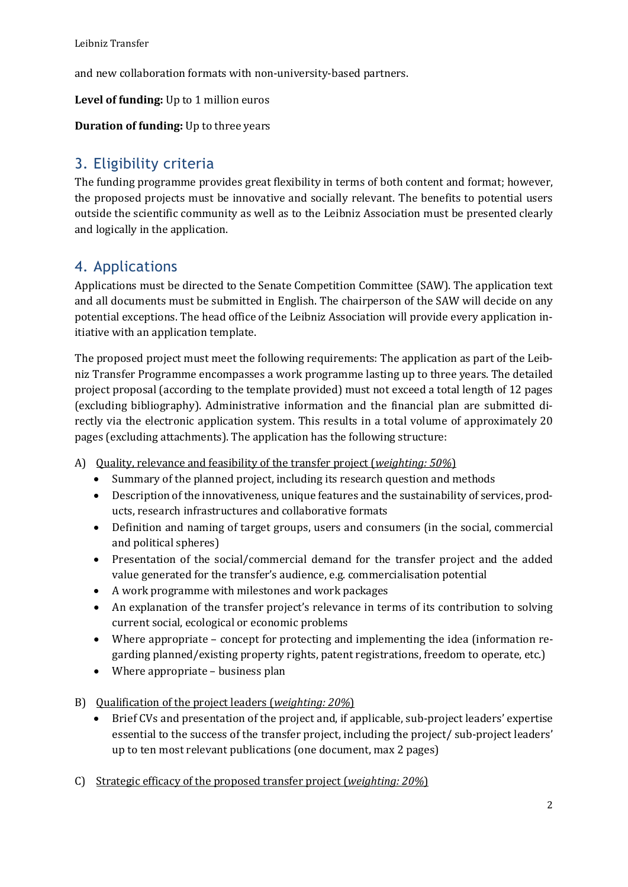and new collaboration formats with non-university-based partners.

**Level of funding:** Up to 1 million euros

**Duration of funding:** Up to three years

# <span id="page-1-0"></span>3. Eligibility criteria

The funding programme provides great flexibility in terms of both content and format; however, the proposed projects must be innovative and socially relevant. The benefits to potential users outside the scientific community as well as to the Leibniz Association must be presented clearly and logically in the application.

### <span id="page-1-1"></span>4. Applications

Applications must be directed to the Senate Competition Committee (SAW). The application text and all documents must be submitted in English. The chairperson of the SAW will decide on any potential exceptions. The head office of the Leibniz Association will provide every application initiative with an application template.

The proposed project must meet the following requirements: The application as part of the Leibniz Transfer Programme encompasses a work programme lasting up to three years. The detailed project proposal (according to the template provided) must not exceed a total length of 12 pages (excluding bibliography). Administrative information and the financial plan are submitted directly via the electronic application system. This results in a total volume of approximately 20 pages (excluding attachments). The application has the following structure:

- A) Quality, relevance and feasibility of the transfer project (*weighting: 50%*)
	- Summary of the planned project, including its research question and methods
	- Description of the innovativeness, unique features and the sustainability of services, products, research infrastructures and collaborative formats
	- Definition and naming of target groups, users and consumers (in the social, commercial and political spheres)
	- Presentation of the social/commercial demand for the transfer project and the added value generated for the transfer's audience, e.g. commercialisation potential
	- A work programme with milestones and work packages
	- An explanation of the transfer project's relevance in terms of its contribution to solving current social, ecological or economic problems
	- Where appropriate concept for protecting and implementing the idea (information regarding planned/existing property rights, patent registrations, freedom to operate, etc.)
	- Where appropriate business plan
- B) Qualification of the project leaders (*weighting: 20%*)
	- Brief CVs and presentation of the project and, if applicable, sub-project leaders' expertise essential to the success of the transfer project, including the project/ sub-project leaders' up to ten most relevant publications (one document, max 2 pages)
- C) Strategic efficacy of the proposed transfer project (*weighting: 20%*)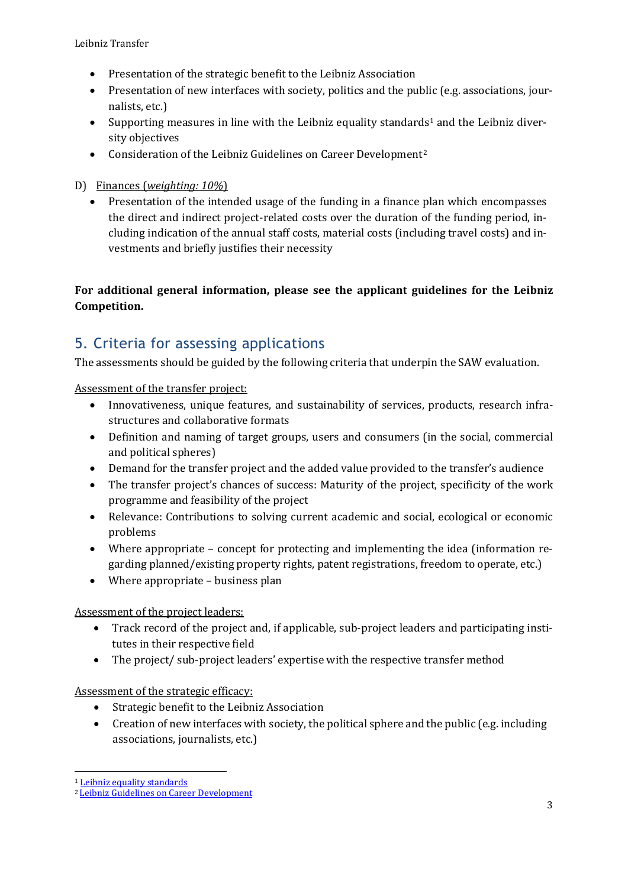- Presentation of the strategic benefit to the Leibniz Association
- Presentation of new interfaces with society, politics and the public (e.g. associations, journalists, etc.)
- Supporting measures in line with the Leibniz equality standards<sup>[1](#page-2-1)</sup> and the Leibniz diversity objectives
- Consideration of the Leibniz Guidelines on Career Development<sup>2</sup>

#### D) Finances (*weighting: 10%*)

• Presentation of the intended usage of the funding in a finance plan which encompasses the direct and indirect project-related costs over the duration of the funding period, including indication of the annual staff costs, material costs (including travel costs) and investments and briefly justifies their necessity

#### **For additional general information, please see the applicant guidelines for the Leibniz Competition.**

# <span id="page-2-0"></span>5. Criteria for assessing applications

The assessments should be guided by the following criteria that underpin the SAW evaluation.

Assessment of the transfer project:

- Innovativeness, unique features, and sustainability of services, products, research infrastructures and collaborative formats
- Definition and naming of target groups, users and consumers (in the social, commercial and political spheres)
- Demand for the transfer project and the added value provided to the transfer's audience
- The transfer project's chances of success: Maturity of the project, specificity of the work programme and feasibility of the project
- Relevance: Contributions to solving current academic and social, ecological or economic problems
- Where appropriate concept for protecting and implementing the idea (information regarding planned/existing property rights, patent registrations, freedom to operate, etc.)
- Where appropriate business plan

Assessment of the project leaders:

- Track record of the project and, if applicable, sub-project leaders and participating institutes in their respective field
- The project/ sub-project leaders' expertise with the respective transfer method

Assessment of the strategic efficacy:

- Strategic benefit to the Leibniz Association
- Creation of new interfaces with society, the political sphere and the public (e.g. including associations, journalists, etc.)

<span id="page-2-1"></span><sup>&</sup>lt;sup>1</sup> Leibniz equality standards

<span id="page-2-2"></span><sup>2</sup> [Leibniz Guidelines on Career Development](https://www.leibniz-gemeinschaft.de/fileadmin/user_upload/Bilder_und_Downloads/%C3%9Cber_uns/Karriere/Broschuere-Leibniz-Leitlinie-Karriereentwicklung-2020_WEB.pdf)